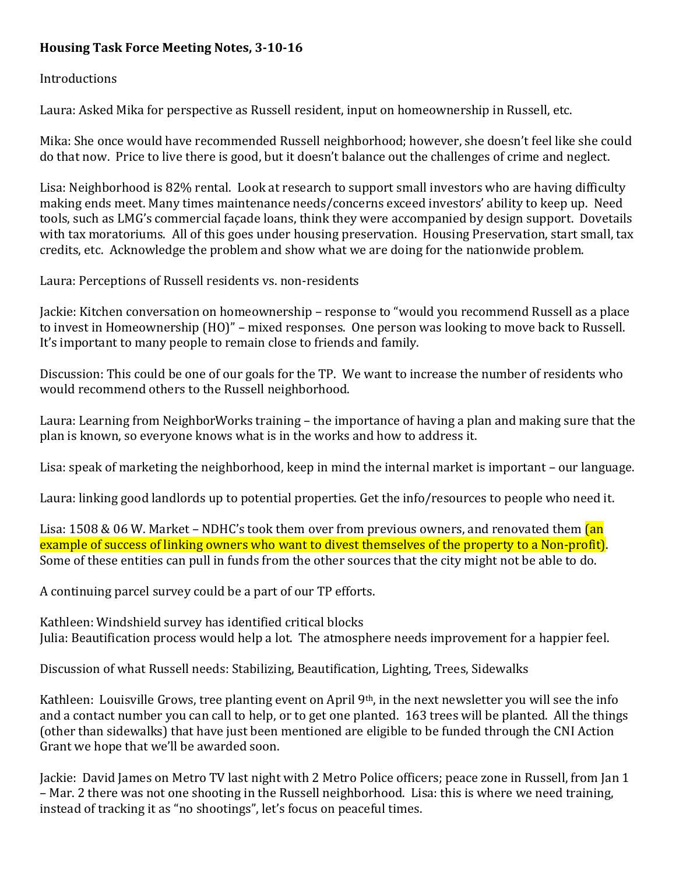# **Housing Task Force Meeting Notes, 3-10-16**

## Introductions

Laura: Asked Mika for perspective as Russell resident, input on homeownership in Russell, etc.

Mika: She once would have recommended Russell neighborhood; however, she doesn't feel like she could do that now. Price to live there is good, but it doesn't balance out the challenges of crime and neglect.

Lisa: Neighborhood is 82% rental. Look at research to support small investors who are having difficulty making ends meet. Many times maintenance needs/concerns exceed investors' ability to keep up. Need tools, such as LMG's commercial façade loans, think they were accompanied by design support. Dovetails with tax moratoriums. All of this goes under housing preservation. Housing Preservation, start small, tax credits, etc. Acknowledge the problem and show what we are doing for the nationwide problem.

Laura: Perceptions of Russell residents vs. non-residents

Jackie: Kitchen conversation on homeownership – response to "would you recommend Russell as a place to invest in Homeownership (HO)" – mixed responses. One person was looking to move back to Russell. It's important to many people to remain close to friends and family.

Discussion: This could be one of our goals for the TP. We want to increase the number of residents who would recommend others to the Russell neighborhood.

Laura: Learning from NeighborWorks training – the importance of having a plan and making sure that the plan is known, so everyone knows what is in the works and how to address it.

Lisa: speak of marketing the neighborhood, keep in mind the internal market is important – our language.

Laura: linking good landlords up to potential properties. Get the info/resources to people who need it.

Lisa: 1508 & 06 W. Market – NDHC's took them over from previous owners, and renovated them  $\tan$ example of success of linking owners who want to divest themselves of the property to a Non-profit). Some of these entities can pull in funds from the other sources that the city might not be able to do.

A continuing parcel survey could be a part of our TP efforts.

Kathleen: Windshield survey has identified critical blocks Julia: Beautification process would help a lot. The atmosphere needs improvement for a happier feel.

Discussion of what Russell needs: Stabilizing, Beautification, Lighting, Trees, Sidewalks

Kathleen: Louisville Grows, tree planting event on April 9th, in the next newsletter you will see the info and a contact number you can call to help, or to get one planted. 163 trees will be planted. All the things (other than sidewalks) that have just been mentioned are eligible to be funded through the CNI Action Grant we hope that we'll be awarded soon.

Jackie: David James on Metro TV last night with 2 Metro Police officers; peace zone in Russell, from Jan 1 – Mar. 2 there was not one shooting in the Russell neighborhood. Lisa: this is where we need training, instead of tracking it as "no shootings", let's focus on peaceful times.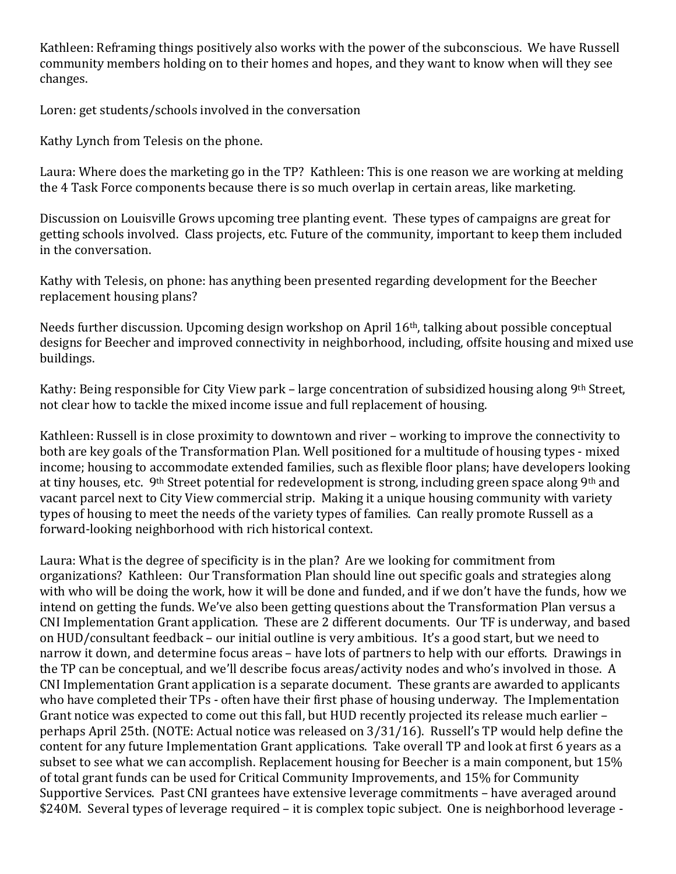Kathleen: Reframing things positively also works with the power of the subconscious. We have Russell community members holding on to their homes and hopes, and they want to know when will they see changes.

Loren: get students/schools involved in the conversation

Kathy Lynch from Telesis on the phone.

Laura: Where does the marketing go in the TP? Kathleen: This is one reason we are working at melding the 4 Task Force components because there is so much overlap in certain areas, like marketing.

Discussion on Louisville Grows upcoming tree planting event. These types of campaigns are great for getting schools involved. Class projects, etc. Future of the community, important to keep them included in the conversation.

Kathy with Telesis, on phone: has anything been presented regarding development for the Beecher replacement housing plans?

Needs further discussion. Upcoming design workshop on April 16th, talking about possible conceptual designs for Beecher and improved connectivity in neighborhood, including, offsite housing and mixed use buildings.

Kathy: Being responsible for City View park – large concentration of subsidized housing along 9th Street, not clear how to tackle the mixed income issue and full replacement of housing.

Kathleen: Russell is in close proximity to downtown and river – working to improve the connectivity to both are key goals of the Transformation Plan. Well positioned for a multitude of housing types - mixed income; housing to accommodate extended families, such as flexible floor plans; have developers looking at tiny houses, etc. 9th Street potential for redevelopment is strong, including green space along 9th and vacant parcel next to City View commercial strip. Making it a unique housing community with variety types of housing to meet the needs of the variety types of families. Can really promote Russell as a forward-looking neighborhood with rich historical context.

Laura: What is the degree of specificity is in the plan? Are we looking for commitment from organizations? Kathleen: Our Transformation Plan should line out specific goals and strategies along with who will be doing the work, how it will be done and funded, and if we don't have the funds, how we intend on getting the funds. We've also been getting questions about the Transformation Plan versus a CNI Implementation Grant application. These are 2 different documents. Our TF is underway, and based on HUD/consultant feedback – our initial outline is very ambitious. It's a good start, but we need to narrow it down, and determine focus areas – have lots of partners to help with our efforts. Drawings in the TP can be conceptual, and we'll describe focus areas/activity nodes and who's involved in those. A CNI Implementation Grant application is a separate document. These grants are awarded to applicants who have completed their TPs - often have their first phase of housing underway. The Implementation Grant notice was expected to come out this fall, but HUD recently projected its release much earlier – perhaps April 25th. (NOTE: Actual notice was released on 3/31/16). Russell's TP would help define the content for any future Implementation Grant applications. Take overall TP and look at first 6 years as a subset to see what we can accomplish. Replacement housing for Beecher is a main component, but 15% of total grant funds can be used for Critical Community Improvements, and 15% for Community Supportive Services. Past CNI grantees have extensive leverage commitments – have averaged around \$240M. Several types of leverage required – it is complex topic subject. One is neighborhood leverage -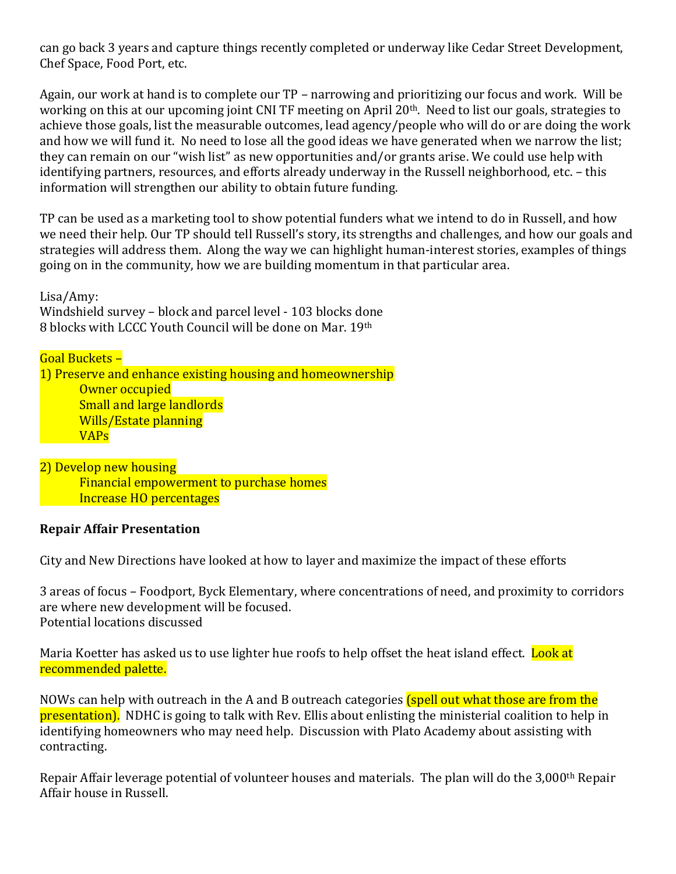can go back 3 years and capture things recently completed or underway like Cedar Street Development, Chef Space, Food Port, etc.

Again, our work at hand is to complete our TP – narrowing and prioritizing our focus and work. Will be working on this at our upcoming joint CNI TF meeting on April 20th. Need to list our goals, strategies to achieve those goals, list the measurable outcomes, lead agency/people who will do or are doing the work and how we will fund it. No need to lose all the good ideas we have generated when we narrow the list; they can remain on our "wish list" as new opportunities and/or grants arise. We could use help with identifying partners, resources, and efforts already underway in the Russell neighborhood, etc. – this information will strengthen our ability to obtain future funding.

TP can be used as a marketing tool to show potential funders what we intend to do in Russell, and how we need their help. Our TP should tell Russell's story, its strengths and challenges, and how our goals and strategies will address them. Along the way we can highlight human-interest stories, examples of things going on in the community, how we are building momentum in that particular area.

Lisa/Amy: Windshield survey – block and parcel level - 103 blocks done 8 blocks with LCCC Youth Council will be done on Mar. 19th

#### Goal Buckets –

1) Preserve and enhance existing housing and homeownership Owner occupied Small and large landlords Wills/Estate planning VAPs

2) Develop new housing Financial empowerment to purchase homes Increase HO percentages

## **Repair Affair Presentation**

City and New Directions have looked at how to layer and maximize the impact of these efforts

3 areas of focus – Foodport, Byck Elementary, where concentrations of need, and proximity to corridors are where new development will be focused. Potential locations discussed

Maria Koetter has asked us to use lighter hue roofs to help offset the heat island effect. Look at recommended palette.

NOWs can help with outreach in the A and B outreach categories (spell out what those are from the presentation). NDHC is going to talk with Rev. Ellis about enlisting the ministerial coalition to help in identifying homeowners who may need help. Discussion with Plato Academy about assisting with contracting.

Repair Affair leverage potential of volunteer houses and materials. The plan will do the 3,000th Repair Affair house in Russell.